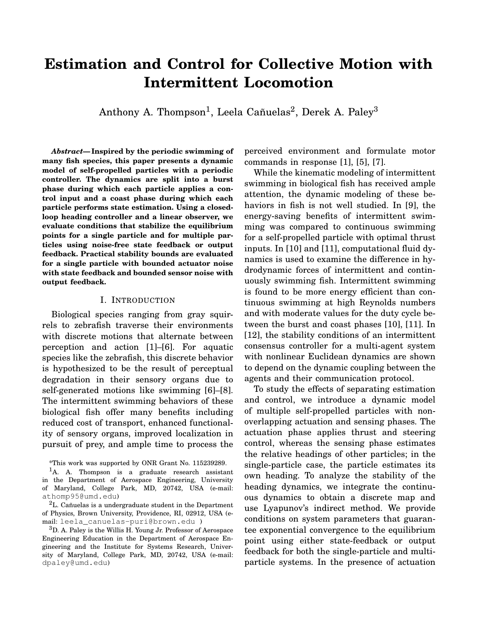# **Estimation and Control for Collective Motion with Intermittent Locomotion**

Anthony A. Thompson $^1$ , Leela Cañuelas $^2$ , Derek A. Paley $^3$ 

*Abstract***— Inspired by the periodic swimming of many fish species, this paper presents a dynamic model of self-propelled particles with a periodic controller. The dynamics are split into a burst phase during which each particle applies a control input and a coast phase during which each particle performs state estimation. Using a closedloop heading controller and a linear observer, we evaluate conditions that stabilize the equilibrium points for a single particle and for multiple particles using noise-free state feedback or output feedback. Practical stability bounds are evaluated for a single particle with bounded actuator noise with state feedback and bounded sensor noise with output feedback.**

#### I. INTRODUCTION

Biological species ranging from gray squirrels to zebrafish traverse their environments with discrete motions that alternate between perception and action [1]–[6]. For aquatic species like the zebrafish, this discrete behavior is hypothesized to be the result of perceptual degradation in their sensory organs due to self-generated motions like swimming [6]–[8]. The intermittent swimming behaviors of these biological fish offer many benefits including reduced cost of transport, enhanced functionality of sensory organs, improved localization in pursuit of prey, and ample time to process the

<sup>3</sup>D. A. Paley is the Willis H. Young Jr. Professor of Aerospace Engineering Education in the Department of Aerospace Engineering and the Institute for Systems Research, University of Maryland, College Park, MD, 20742, USA (e-mail: dpaley@umd.edu)

perceived environment and formulate motor commands in response [1], [5], [7].

While the kinematic modeling of intermittent swimming in biological fish has received ample attention, the dynamic modeling of these behaviors in fish is not well studied. In [9], the energy-saving benefits of intermittent swimming was compared to continuous swimming for a self-propelled particle with optimal thrust inputs. In [10] and [11], computational fluid dynamics is used to examine the difference in hydrodynamic forces of intermittent and continuously swimming fish. Intermittent swimming is found to be more energy efficient than continuous swimming at high Reynolds numbers and with moderate values for the duty cycle between the burst and coast phases [10], [11]. In [12], the stability conditions of an intermittent consensus controller for a multi-agent system with nonlinear Euclidean dynamics are shown to depend on the dynamic coupling between the agents and their communication protocol.

To study the effects of separating estimation and control, we introduce a dynamic model of multiple self-propelled particles with nonoverlapping actuation and sensing phases. The actuation phase applies thrust and steering control, whereas the sensing phase estimates the relative headings of other particles; in the single-particle case, the particle estimates its own heading. To analyze the stability of the heading dynamics, we integrate the continuous dynamics to obtain a discrete map and use Lyapunov's indirect method. We provide conditions on system parameters that guarantee exponential convergence to the equilibrium point using either state-feedback or output feedback for both the single-particle and multiparticle systems. In the presence of actuation

<sup>\*</sup>This work was supported by ONR Grant No. 115239289.

 $<sup>1</sup>A$ . A. Thompson is a graduate research assistant</sup> in the Department of Aerospace Engineering, University of Maryland, College Park, MD, 20742, USA (e-mail: athomp95@umd.edu)

 ${}^{2}$ L. Cañuelas is a undergraduate student in the Department of Physics, Brown University, Providence, RI, 02912, USA (email: leela\_canuelas-puri@brown.edu )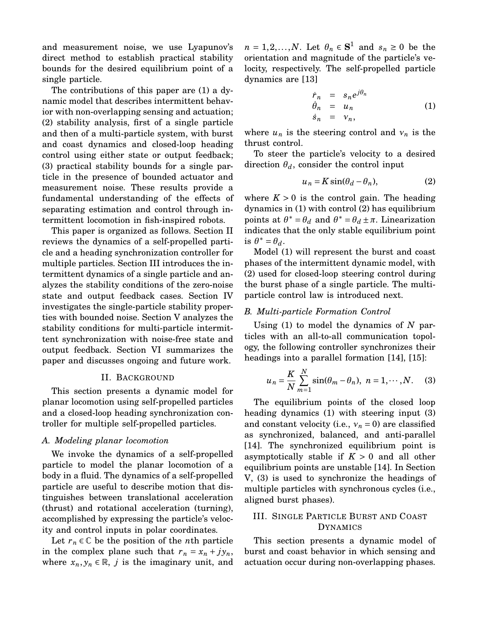and measurement noise, we use Lyapunov's direct method to establish practical stability bounds for the desired equilibrium point of a single particle.

The contributions of this paper are (1) a dynamic model that describes intermittent behavior with non-overlapping sensing and actuation; (2) stability analysis, first of a single particle and then of a multi-particle system, with burst and coast dynamics and closed-loop heading control using either state or output feedback; (3) practical stability bounds for a single particle in the presence of bounded actuator and measurement noise. These results provide a fundamental understanding of the effects of separating estimation and control through intermittent locomotion in fish-inspired robots.

This paper is organized as follows. Section II reviews the dynamics of a self-propelled particle and a heading synchronization controller for multiple particles. Section III introduces the intermittent dynamics of a single particle and analyzes the stability conditions of the zero-noise state and output feedback cases. Section IV investigates the single-particle stability properties with bounded noise. Section V analyzes the stability conditions for multi-particle intermittent synchronization with noise-free state and output feedback. Section VI summarizes the paper and discusses ongoing and future work.

## II. BACKGROUND

This section presents a dynamic model for planar locomotion using self-propelled particles and a closed-loop heading synchronization controller for multiple self-propelled particles.

#### *A. Modeling planar locomotion*

We invoke the dynamics of a self-propelled particle to model the planar locomotion of a body in a fluid. The dynamics of a self-propelled particle are useful to describe motion that distinguishes between translational acceleration (thrust) and rotational acceleration (turning), accomplished by expressing the particle's velocity and control inputs in polar coordinates.

Let  $r_n \in \mathbb{C}$  be the position of the *n*th particle in the complex plane such that  $r_n = x_n + jy_n$ , where  $x_n, y_n \in \mathbb{R}$ , *j* is the imaginary unit, and

 $n = 1, 2, \ldots, N$ . Let  $\theta_n \in \mathbf{S}^1$  and  $s_n \geq 0$  be the orientation and magnitude of the particle's velocity, respectively. The self-propelled particle dynamics are [13]

$$
\dot{r}_n = s_n e^{j\theta_n} \n\dot{\theta}_n = u_n \n\dot{s}_n = v_n,
$$
\n(1)

where  $u_n$  is the steering control and  $v_n$  is the thrust control.

To steer the particle's velocity to a desired direction  $\theta_d$ , consider the control input

$$
u_n = K \sin(\theta_d - \theta_n), \tag{2}
$$

where  $K > 0$  is the control gain. The heading dynamics in (1) with control (2) has equilibrium points at  $\theta^* = \theta_d$  and  $\theta^* = \theta_d \pm \pi$ . Linearization indicates that the only stable equilibrium point is  $\theta^* = \theta_d$ .

Model (1) will represent the burst and coast phases of the intermittent dynamic model, with (2) used for closed-loop steering control during the burst phase of a single particle. The multiparticle control law is introduced next.

### *B. Multi-particle Formation Control*

Using (1) to model the dynamics of *N* particles with an all-to-all communication topology, the following controller synchronizes their headings into a parallel formation [14], [15]:

$$
u_n = \frac{K}{N} \sum_{m=1}^{N} \sin(\theta_m - \theta_n), \ n = 1, \cdots, N. \tag{3}
$$

The equilibrium points of the closed loop heading dynamics (1) with steering input (3) and constant velocity (i.e.,  $v_n = 0$ ) are classified as synchronized, balanced, and anti-parallel [14]. The synchronized equilibrium point is asymptotically stable if  $K > 0$  and all other equilibrium points are unstable [14]. In Section V, (3) is used to synchronize the headings of multiple particles with synchronous cycles (i.e., aligned burst phases).

## III. SINGLE PARTICLE BURST AND COAST DYNAMICS

This section presents a dynamic model of burst and coast behavior in which sensing and actuation occur during non-overlapping phases.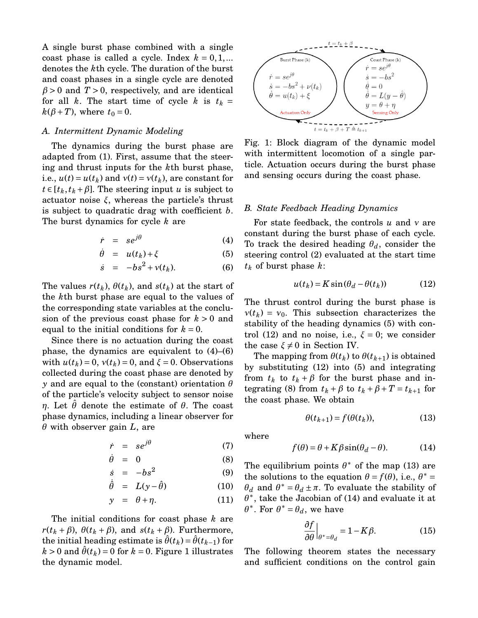A single burst phase combined with a single coast phase is called a cycle. Index  $k = 0, 1, ...$ denotes the *k*th cycle. The duration of the burst and coast phases in a single cycle are denoted  $\beta$  > 0 and *T* > 0, respectively, and are identical for all *k*. The start time of cycle *k* is  $t_k =$  $k(\beta+T)$ , where  $t_0 = 0$ .

#### *A. Intermittent Dynamic Modeling*

The dynamics during the burst phase are adapted from (1). First, assume that the steering and thrust inputs for the *k*th burst phase, i.e.,  $u(t) = u(t_k)$  and  $v(t) = v(t_k)$ , are constant for  $t \in [t_k, t_k + \beta]$ . The steering input *u* is subject to actuator noise *ξ*, whereas the particle's thrust is subject to quadratic drag with coefficient *b*. The burst dynamics for cycle *k* are

$$
\dot{r} = s e^{j\theta} \tag{4}
$$

$$
\dot{\theta} = u(t_k) + \xi \tag{5}
$$

$$
\dot{s} = -bs^2 + v(t_k). \tag{6}
$$

The values  $r(t_k)$ ,  $\theta(t_k)$ , and  $s(t_k)$  at the start of the *k*th burst phase are equal to the values of the corresponding state variables at the conclusion of the previous coast phase for *k* > 0 and equal to the initial conditions for  $k = 0$ .

Since there is no actuation during the coast phase, the dynamics are equivalent to (4)–(6) with  $u(t_k) = 0$ ,  $v(t_k) = 0$ , and  $\xi = 0$ . Observations collected during the coast phase are denoted by *y* and are equal to the (constant) orientation *θ* of the particle's velocity subject to sensor noise *η*. Let *θ*ˆ denote the estimate of *θ*. The coast phase dynamics, including a linear observer for *θ* with observer gain *L*, are

$$
\dot{r} = se^{j\theta} \tag{7}
$$

$$
\dot{\theta} = 0 \tag{8}
$$

$$
\dot{s} = -b s^2 \tag{9}
$$

$$
\dot{\hat{\theta}} = L(y - \hat{\theta}) \tag{10}
$$

$$
y = \theta + \eta. \tag{11}
$$

The initial conditions for coast phase *k* are  $r(t_k + \beta)$ ,  $\theta(t_k + \beta)$ , and  $s(t_k + \beta)$ . Furthermore, the initial heading estimate is  $\hat{\theta}(t_k) = \theta(t_{k-1})$  for  $k > 0$  and  $\hat{\theta}(t_k) = 0$  for  $k = 0$ . Figure 1 illustrates the dynamic model.



Fig. 1: Block diagram of the dynamic model with intermittent locomotion of a single particle. Actuation occurs during the burst phase and sensing occurs during the coast phase.

#### *B. State Feedback Heading Dynamics*

For state feedback, the controls *u* and *ν* are constant during the burst phase of each cycle. To track the desired heading *θd*, consider the steering control (2) evaluated at the start time *t<sup>k</sup>* of burst phase *k*:

$$
u(t_k) = K \sin(\theta_d - \theta(t_k))
$$
 (12)

The thrust control during the burst phase is  $v(t_k) = v_0$ . This subsection characterizes the stability of the heading dynamics (5) with control (12) and no noise, i.e.,  $\xi = 0$ ; we consider the case  $\xi \neq 0$  in Section IV.

The mapping from  $\theta(t_k)$  to  $\theta(t_{k+1})$  is obtained by substituting (12) into (5) and integrating from  $t_k$  to  $t_k + \beta$  for the burst phase and integrating (8) from  $t_k + \beta$  to  $t_k + \beta + T = t_{k+1}$  for the coast phase. We obtain

$$
\theta(t_{k+1}) = f(\theta(t_k)),\tag{13}
$$

where

$$
f(\theta) = \theta + K\beta \sin(\theta_d - \theta). \tag{14}
$$

The equilibrium points  $\theta^*$  of the map (13) are the solutions to the equation  $\theta = f(\theta)$ , i.e.,  $\theta^* =$  $θ_d$  and  $θ^* = θ_d ± π$ . To evaluate the stability of  $\theta^*$ , take the Jacobian of (14) and evaluate it at  $\theta^*$ . For  $\theta^* = \theta_d$ , we have

$$
\frac{\partial f}{\partial \theta}\Big|_{\theta^* = \theta_d} = 1 - K\beta. \tag{15}
$$

The following theorem states the necessary and sufficient conditions on the control gain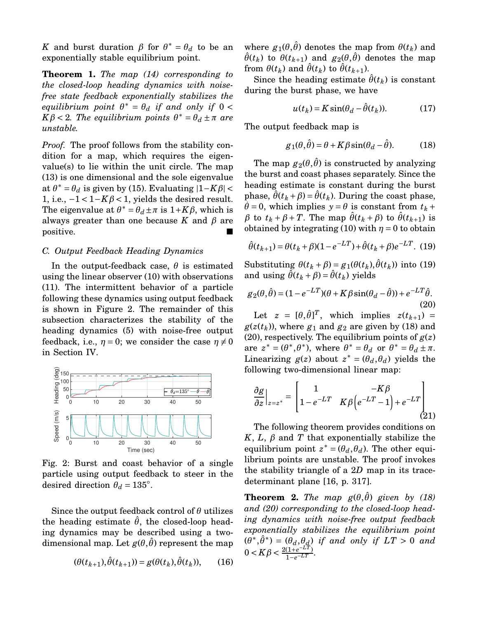*K* and burst duration  $\beta$  for  $\theta^* = \theta_d$  to be an exponentially stable equilibrium point.

**Theorem 1.** *The map (14) corresponding to the closed-loop heading dynamics with noisefree state feedback exponentially stabilizes the*  $\alpha$ *equilibrium point*  $\theta^* = \theta_d$  *if and only if*  $0 < \theta$  $K\beta$  < 2*. The equilibrium points*  $\theta^* = \theta_d \pm \pi$  *are unstable.*

*Proof.* The proof follows from the stability condition for a map, which requires the eigenvalue(s) to lie within the unit circle. The map (13) is one dimensional and the sole eigenvalue at  $\theta^* = \theta_d$  is given by (15). Evaluating  $|1 - K\beta|$ 1, i.e.,  $-1 < 1-K\beta < 1$ , yields the desired result. The eigenvalue at  $\theta^* = \theta_d \pm \pi$  is  $1 + K\beta$ , which is always greater than one because  $K$  and  $\beta$  are positive.

#### *C. Output Feedback Heading Dynamics*

In the output-feedback case,  $\theta$  is estimated using the linear observer (10) with observations (11). The intermittent behavior of a particle following these dynamics using output feedback is shown in Figure 2. The remainder of this subsection characterizes the stability of the heading dynamics (5) with noise-free output feedback, i.e.,  $\eta = 0$ ; we consider the case  $\eta \neq 0$ in Section IV.



Fig. 2: Burst and coast behavior of a single particle using output feedback to steer in the desired direction  $\theta_d = 135^\circ$ .

Since the output feedback control of *θ* utilizes the heading estimate  $\hat{\theta}$ , the closed-loop heading dynamics may be described using a twodimensional map. Let  $g(\theta, \hat{\theta})$  represent the map

$$
(\theta(t_{k+1}), \hat{\theta}(t_{k+1})) = g(\theta(t_k), \hat{\theta}(t_k)), \qquad (16)
$$

where  $g_1(\theta, \hat{\theta})$  denotes the map from  $\theta(t_k)$  and  $\hat{\theta}(t_k)$  to  $\theta(t_{k+1})$  and  $g_2(\theta, \hat{\theta})$  denotes the map from  $\theta(t_k)$  and  $\hat{\theta}(t_k)$  to  $\hat{\theta}(t_{k+1})$ .

Since the heading estimate  $\hat{\theta}(t_k)$  is constant during the burst phase, we have

$$
u(t_k) = K \sin(\theta_d - \hat{\theta}(t_k)).
$$
 (17)

The output feedback map is

$$
g_1(\theta, \hat{\theta}) = \theta + K\beta \sin(\theta_d - \hat{\theta}).
$$
 (18)

The map  $g_2(\theta, \hat{\theta})$  is constructed by analyzing the burst and coast phases separately. Since the heading estimate is constant during the burst phase,  $\theta(t_k + \beta) = \theta(t_k)$ . During the coast phase,  $\dot{\theta} = 0$ , which implies  $y = \theta$  is constant from  $t_k$  + *β* to  $t_k + β + T$ . The map  $\hat{\theta}(t_k + β)$  to  $\hat{\theta}(t_{k+1})$  is obtained by integrating (10) with  $\eta = 0$  to obtain

$$
\hat{\theta}(t_{k+1}) = \theta(t_k + \beta)(1 - e^{-LT}) + \hat{\theta}(t_k + \beta)e^{-LT}.
$$
 (19)

Substituting  $θ(t_k + β) = g_1(θ(t_k), θ(t_k))$  into (19) and using  $\hat{\theta}(t_k + \beta) = \hat{\theta}(t_k)$  yields

$$
g_2(\theta, \hat{\theta}) = (1 - e^{-LT})(\theta + K\beta \sin(\theta_d - \hat{\theta})) + e^{-LT}\hat{\theta}.
$$
\n(20)

Let  $z = [\theta, \hat{\theta}]^T$ , which implies  $z(t_{k+1}) =$  $g(z(t_k))$ , where  $g_1$  and  $g_2$  are given by (18) and (20), respectively. The equilibrium points of  $g(z)$ are  $z^* = (\theta^*, \theta^*)$ , where  $\theta^* = \theta_d$  or  $\theta^* = \theta_d \pm \pi$ . Linearizing  $g(z)$  about  $z^* = (\hat{\theta_d}, \theta_d)$  yields the following two-dimensional linear map:

$$
\frac{\partial g}{\partial z}\Big|_{z=z^*} = \begin{bmatrix} 1 & -K\beta \\ 1 - e^{-LT} & K\beta \left( e^{-LT} - 1 \right) + e^{-LT} \end{bmatrix}
$$
\n(21)

The following theorem provides conditions on *K*, *L*,  $β$  and *T* that exponentially stabilize the equilibrium point  $z^* = (\theta_d, \theta_d)$ . The other equilibrium points are unstable. The proof invokes the stability triangle of a 2*D* map in its tracedeterminant plane [16, p. 317].

**Theorem 2.** *The map*  $g(\theta, \hat{\theta})$  *given by (18) and (20) corresponding to the closed-loop heading dynamics with noise-free output feedback exponentially stabilizes the equilibrium point*  $(\hat{\theta}^*, \hat{\theta}^*) = (\hat{\theta}_d, \theta_d)$  *if and only if*  $LT > 0$  *and*  $0 < K\beta < \frac{2(1+e^{-LT})}{1-e^{-LT}}$  $\frac{(1+e^{-LT})}{1-e^{-LT}}$ .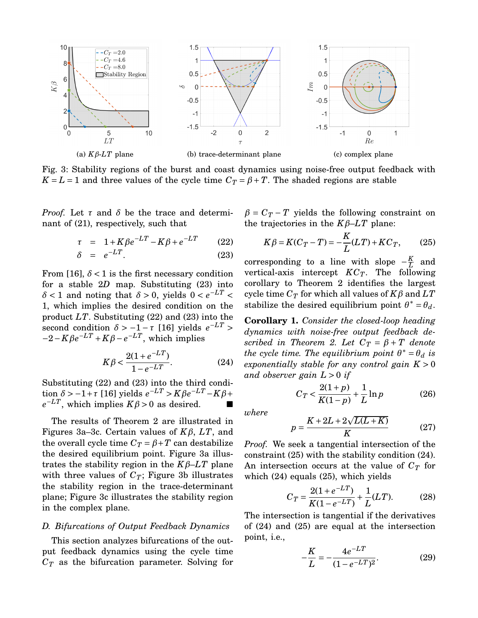

Fig. 3: Stability regions of the burst and coast dynamics using noise-free output feedback with  $K = L = 1$  and three values of the cycle time  $C_T = \beta + T$ . The shaded regions are stable

*Proof.* Let *τ* and *δ* be the trace and determinant of (21), respectively, such that

$$
\tau = 1 + K\beta e^{-LT} - K\beta + e^{-LT} \qquad (22)
$$

$$
\delta = e^{-LT}.
$$
 (23)

From [16],  $\delta$  < 1 is the first necessary condition for a stable 2*D* map. Substituting (23) into  $\delta$  < 1 and noting that  $\delta$  > 0, yields  $0 < e^{-LT}$ 1, which implies the desired condition on the product *LT*. Substituting (22) and (23) into the second condition  $\delta$  > −1 − *τ* [16] yields  $e^{-LT}$  >  $-2 - K\beta e^{-LT} + K\beta - e^{-LT}$ , which implies

$$
K\beta < \frac{2(1 + e^{-LT})}{1 - e^{-LT}}.\tag{24}
$$

Substituting (22) and (23) into the third condi $t$ tion  $\delta$  > −1+*τ* [16] yields  $e^{-LT}$  >  $K\beta e^{-LT}$  -  $K\beta$ +  $e^{-LT}$ , which implies  $K\beta > 0$  as desired. ■

The results of Theorem 2 are illustrated in Figures 3a–3c. Certain values of *Kβ*, *LT*, and the overall cycle time  $C_T = \beta + T$  can destabilize the desired equilibrium point. Figure 3a illustrates the stability region in the  $K\beta$ – $LT$  plane with three values of  $C_T$ ; Figure 3b illustrates the stability region in the trace-determinant plane; Figure 3c illustrates the stability region in the complex plane.

## *D. Bifurcations of Output Feedback Dynamics*

This section analyzes bifurcations of the output feedback dynamics using the cycle time *C<sup>T</sup>* as the bifurcation parameter. Solving for  $\beta = C_T - T$  yields the following constraint on the trajectories in the  $K\beta$ – $LT$  plane:

$$
K\beta = K(C_T - T) = -\frac{K}{L}(LT) + KC_T, \qquad (25)
$$

corresponding to a line with slope  $-\frac{K}{l}$  $\frac{K}{L}$  and vertical-axis intercept *KCT*. The following corollary to Theorem 2 identifies the largest cycle time  $C_T$  for which all values of  $K\beta$  and  $LT$ stabilize the desired equilibrium point  $\theta^* = \theta_d$ .

**Corollary 1.** *Consider the closed-loop heading dynamics with noise-free output feedback described in Theorem 2. Let*  $C_T = \beta + T$  *denote the cycle time. The equilibrium point*  $\theta^* = \theta_d$  *is exponentially stable for any control gain*  $K > 0$ *and observer gain L* > 0 *if*

$$
C_T < \frac{2(1+p)}{K(1-p)} + \frac{1}{L} \ln p \tag{26}
$$

*where*

$$
p = \frac{K + 2L + 2\sqrt{L(L+K)}}{K} \tag{27}
$$

*Proof.* We seek a tangential intersection of the constraint (25) with the stability condition (24). An intersection occurs at the value of  $C_T$  for which (24) equals (25), which yields

$$
C_T = \frac{2(1 + e^{-LT})}{K(1 - e^{-LT})} + \frac{1}{L}(LT). \tag{28}
$$

The intersection is tangential if the derivatives of (24) and (25) are equal at the intersection point, i.e.,

$$
-\frac{K}{L} = -\frac{4e^{-LT}}{(1 - e^{-LT})^2}.
$$
 (29)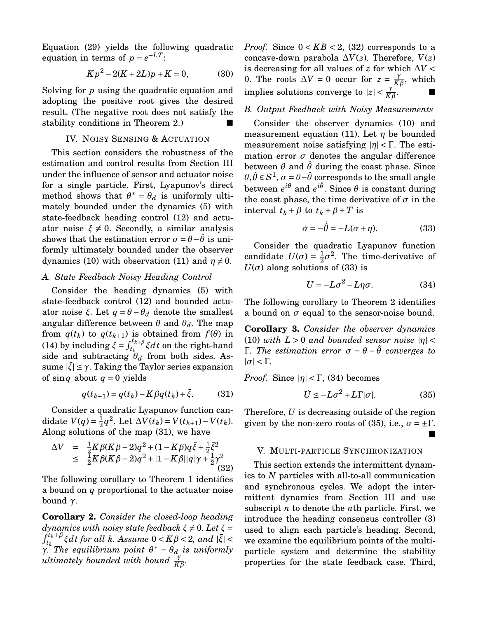Equation (29) yields the following quadratic equation in terms of  $p = e^{-LT}$ .

$$
Kp^2 - 2(K + 2L)p + K = 0,\t(30)
$$

Solving for *p* using the quadratic equation and adopting the positive root gives the desired result. (The negative root does not satisfy the stability conditions in Theorem 2.)

## IV. NOISY SENSING & ACTUATION

This section considers the robustness of the estimation and control results from Section III under the influence of sensor and actuator noise for a single particle. First, Lyapunov's direct method shows that  $\theta^* = \theta_d$  is uniformly ultimately bounded under the dynamics (5) with state-feedback heading control (12) and actuator noise  $\xi \neq 0$ . Secondly, a similar analysis shows that the estimation error  $\sigma = \theta - \theta$  is uniformly ultimately bounded under the observer dynamics (10) with observation (11) and  $\eta \neq 0$ .

### *A. State Feedback Noisy Heading Control*

Consider the heading dynamics (5) with state-feedback control (12) and bounded actuator noise *ξ*. Let *q* =  $θ$  −  $θ$ <sup>*d*</sup> denote the smallest angular difference between  $\theta$  and  $\theta_d$ . The map from  $q(t_k)$  to  $q(t_{k+1})$  is obtained from  $f(\theta)$  in (14) by including  $\bar{\xi} = \int_{t_k}^{t_{k+\beta}} \xi dt$  on the right-hand side and subtracting  $\theta_d$  from both sides. Assume | ¯*ξ*| ≤ *γ*. Taking the Taylor series expansion of sin *q* about  $q = 0$  yields

$$
q(t_{k+1}) = q(t_k) - K\beta q(t_k) + \bar{\xi}.
$$
 (31)

Consider a quadratic Lyapunov function candidate  $V(q) = \frac{1}{2}$  $\frac{1}{2}q^2$ . Let  $\Delta V(t_k) = V(t_{k+1}) - V(t_k)$ . Along solutions of the map (31), we have

$$
\Delta V = \frac{1}{2} K \beta (K \beta - 2) q^2 + (1 - K \beta) q \bar{\xi} + \frac{1}{2} \bar{\xi}^2
$$
  
\n
$$
\leq \frac{1}{2} K \beta (K \beta - 2) q^2 + |1 - K \beta| |q| \gamma + \frac{1}{2} \gamma^2
$$
(32)

The following corollary to Theorem 1 identifies a bound on *q* proportional to the actuator noise bound *γ*.

**Corollary 2.** *Consider the closed-loop heading dynamics with noisy state feedback*  $\xi \neq 0$ . Let  $\overline{\xi} =$  $\int_{t_k}^{t_k+\beta} \xi dt$  for all  $k$ *. Assume*  $0 < K\beta < 2$ *, and*  $|\bar{\xi}| <$  $γ<sup>i k</sup>$  The equilibrium point  $θ<sup>*</sup> = θ<sub>d</sub>$  is uniformly  $\frac{d}{dt}$ *ultimately bounded with bound*  $\frac{\gamma}{K\beta}$ *.* 

*Proof.* Since  $0 < KB < 2$ , (32) corresponds to a concave-down parabola  $\Delta V(z)$ . Therefore,  $V(z)$ is decreasing for all values of  $z$  for which  $\Delta V$  < 0. The roots  $\Delta V = 0$  occur for  $z = \frac{\gamma}{K}$  $\frac{\gamma}{K\beta}$ , which implies solutions converge to  $|z| < \frac{\gamma}{K\beta}$  $\mathbf{.}$ 

## *B. Output Feedback with Noisy Measurements*

Consider the observer dynamics (10) and measurement equation (11). Let *η* be bounded measurement noise satisfying |*η*| < Γ. The estimation error  $\sigma$  denotes the angular difference between  $\theta$  and  $\hat{\theta}$  during the coast phase. Since  $\theta, \hat{\theta} \in S^1$ ,  $\sigma$  =  $\theta$ − $\hat{\theta}$  corresponds to the small angle between  $e^{i\theta}$  and  $e^{i\hat{\theta}}$ . Since  $\theta$  is constant during the coast phase, the time derivative of  $\sigma$  in the interval  $t_k + \beta$  to  $t_k + \beta + T$  is

$$
\dot{\sigma} = -\dot{\hat{\theta}} = -L(\sigma + \eta). \tag{33}
$$

Consider the quadratic Lyapunov function candidate  $U(\sigma) = \frac{1}{2}$  $\frac{1}{2}\sigma^2$ . The time-derivative of  $U(\sigma)$  along solutions of (33) is

$$
\dot{U} = -L\sigma^2 - L\eta\sigma. \tag{34}
$$

The following corollary to Theorem 2 identifies a bound on  $\sigma$  equal to the sensor-noise bound.

**Corollary 3.** *Consider the observer dynamics* (10) *with*  $L > 0$  *and bounded sensor noise*  $|\eta|$  < Γ*. The estimation error σ* = *θ* − *θ*ˆ *converges to*  $|\sigma| < \Gamma$ .

*Proof.* Since  $|\eta| < \Gamma$ , (34) becomes

$$
\dot{U} \le -L\sigma^2 + L\Gamma|\sigma|.\tag{35}
$$

Therefore, *U* is decreasing outside of the region given by the non-zero roots of (35), i.e.,  $\sigma = \pm \Gamma$ . ■

#### V. MULTI-PARTICLE SYNCHRONIZATION

This section extends the intermittent dynamics to *N* particles with all-to-all communication and synchronous cycles. We adopt the intermittent dynamics from Section III and use subscript *n* to denote the *n*th particle. First, we introduce the heading consensus controller (3) used to align each particle's heading. Second, we examine the equilibrium points of the multiparticle system and determine the stability properties for the state feedback case. Third,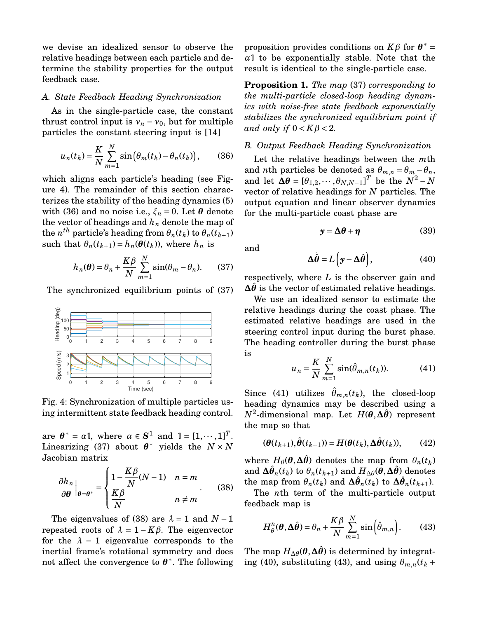we devise an idealized sensor to observe the relative headings between each particle and determine the stability properties for the output feedback case.

#### *A. State Feedback Heading Synchronization*

As in the single-particle case, the constant thrust control input is  $v_n = v_0$ , but for multiple particles the constant steering input is [14]

$$
u_n(t_k) = \frac{K}{N} \sum_{m=1}^{N} \sin(\theta_m(t_k) - \theta_n(t_k)), \qquad (36)
$$

which aligns each particle's heading (see Figure 4). The remainder of this section characterizes the stability of the heading dynamics (5) with (36) and no noise i.e.,  $\xi_n = 0$ . Let  $\theta$  denote the vector of headings and *h<sup>n</sup>* denote the map of  $t$ he  $n^{th}$  particle's heading from  $\theta_n(t_k)$  to  $\theta_n(t_{k+1})$ such that  $\theta_n(t_{k+1}) = h_n(\theta(t_k))$ , where  $h_n$  is

$$
h_n(\boldsymbol{\theta}) = \theta_n + \frac{K\beta}{N} \sum_{m=1}^{N} \sin(\theta_m - \theta_n).
$$
 (37)

The synchronized equilibrium points of (37)



Fig. 4: Synchronization of multiple particles using intermittent state feedback heading control.

are  $\theta^* = \alpha \mathbb{I}$ , where  $\alpha \in S^1$  and  $\mathbb{I} = [1, \dots, 1]^T$ . Linearizing (37) about  $\theta^*$  yields the  $N \times N$ Jacobian matrix

$$
\frac{\partial h_n}{\partial \theta}\Big|_{\theta=\theta^*} = \begin{cases} 1 - \frac{K\beta}{N}(N-1) & n = m\\ \frac{K\beta}{N} & n \neq m \end{cases}
$$
 (38)

The eigenvalues of (38) are  $\lambda = 1$  and  $N - 1$ repeated roots of  $\lambda = 1 - K\beta$ . The eigenvector for the  $\lambda = 1$  eigenvalue corresponds to the inertial frame's rotational symmetry and does not affect the convergence to *θ* ∗ . The following

proposition provides conditions on  $K\beta$  for  $\theta^* =$ *α*1 to be exponentially stable. Note that the result is identical to the single-particle case.

**Proposition 1.** *The map* (37) *corresponding to the multi-particle closed-loop heading dynamics with noise-free state feedback exponentially stabilizes the synchronized equilibrium point if and only if*  $0 < K\beta < 2$ *.* 

## *B. Output Feedback Heading Synchronization*

Let the relative headings between the *m*th and *n*th particles be denoted as  $\theta_{m,n} = \theta_m - \theta_n$ , and let  $\Delta \theta = [\theta_{1,2}, \cdots, \theta_{N,N-1}]^T$  be the  $N^2 - N$ vector of relative headings for *N* particles. The output equation and linear observer dynamics for the multi-particle coast phase are

$$
y = \Delta\theta + \eta \tag{39}
$$

and

$$
\Delta \dot{\hat{\theta}} = L \left( y - \Delta \hat{\theta} \right), \tag{40}
$$

respectively, where *L* is the observer gain and  $\Delta\theta$  is the vector of estimated relative headings.

We use an idealized sensor to estimate the relative headings during the coast phase. The estimated relative headings are used in the steering control input during the burst phase. The heading controller during the burst phase is

$$
u_n = \frac{K}{N} \sum_{m=1}^{N} \sin(\hat{\theta}_{m,n}(t_k)).
$$
 (41)

Since (41) utilizes  $\hat{\theta}_{m,n}(t_k)$ , the closed-loop heading dynamics may be described using a *N*<sup>2</sup> -dimensional map. Let *H*(*θ*,**∆***θ*ˆ) represent the map so that

$$
(\boldsymbol{\theta}(t_{k+1}), \hat{\boldsymbol{\theta}}(t_{k+1})) = H(\boldsymbol{\theta}(t_k), \Delta \hat{\boldsymbol{\theta}}(t_k)), \qquad (42)
$$

where  $H_{\theta}(\theta, \Delta \hat{\theta})$  denotes the map from  $\theta_n(t_k)$ and  $\boldsymbol{\Delta}\hat{\boldsymbol{\theta}}_n(t_k)$  to  $\theta_n(t_{k+1})$  and  $H_{\Delta\theta}(\boldsymbol{\theta},\boldsymbol{\Delta\hat{\theta}})$  denotes the map from  $\theta_n(t_k)$  and  $\Delta \hat{\theta}_n(t_k)$  to  $\Delta \hat{\theta}_n(t_{k+1})$ .

The *n*th term of the multi-particle output feedback map is

$$
H_{\theta}^{n}(\boldsymbol{\theta}, \Delta \hat{\boldsymbol{\theta}}) = \theta_{n} + \frac{K\beta}{N} \sum_{m=1}^{N} \sin\left(\hat{\theta}_{m,n}\right). \qquad (43)
$$

The map  $H_{\Delta\theta}(\theta, \Delta\theta)$  is determined by integrating (40), substituting (43), and using  $\theta_{m,n}(t_k +$